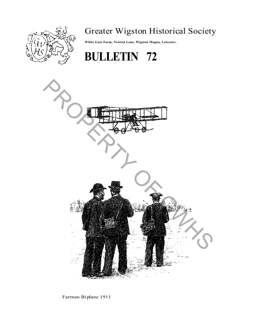

# Greater Wigston Historical Society

**White Gate Farm, Newton Lane, Wigston Magna, Leicester.**





Farrnan Biplane 1911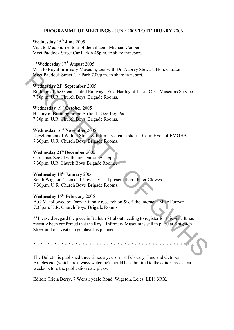#### **PROGRAMME OF MEETINGS -** JUNE 2005 **TO FEBRUARY** 2006

## **Wednesday** 15th **June** 2005

Visit to Medbourne, tour of the village - Michael Cooper Meet Paddock Street Car Park 6.45p.m. to share transport.

# **\*\*Wednesday** 17th **August** 2005

Visit to Royal Infirmary Museum, tour with Dr. Aubrey Stewart, Hon. Curator Meet Paddock Street Car Park 7.00p.m. to share transport.

#### **Wednesday 21st September** 2005

Building of the Great Central Railway - Fred Hartley of Leics. C. C. Museums Service 7.30p.m. U.R. Church Boys' Brigade Rooms.

# **Wednesday** 19th **October** 2005

History of Bruntingthorpe Airfield - Geoffrey Pool 7.30p.m. U.R. Church Boys' Brigade Rooms.

# **Wednesday 16th November** 2005

Development of Walnut Street & Infirmary area in slides - Colin Hyde of EMOHA 7.30p.m. U.R. Church Boys' Brigade Rooms.

## **Wednesday 21st December** 2005

Christmas Social with quiz, games & supper 7.30p.m. U.R. Church Boys' Brigade Rooms.

# **Wednesday** 18th **January** 2006

South Wigston 'Then and Now', a visual presentation - Peter Clowes 7.30p.m. U.R. Church Boys' Brigade Rooms.

# **Wednesday** 15th **February** 2006

A.G.M. followed by Forryan family research on & off the internet - Mike Forryan 7.30p.m. U.R. Church Boys' Brigade Rooms.

\*\*Please disregard the piece in Bulletin 71 about needing to register for this visit. It has recently been confirmed that the Royal Infirmary Museum is still in place at Knighton Street and our visit can go ahead as planned. Meet Paddock Street Car Park 7.00p.m. to share transport.<br>
Wednesday 21<sup>4</sup> September 2005<br>
Building of the Groat Central Rasilway - Fred Hartley of Leies. C. C. Museums Service<br>
To Group of R. Church Boys Brigade Rooms.<br>

\* \* \* \* \* \* \* \* \* \* \* \* \* \* \* \* \* \* \* \* \* \* \* \* \* \* \* \* \* \* \* \* \* \* \* \* \* \* \* \* \* \* \* \* \*

The Bulletin is published three times a year on 1st February, June and October. Articles etc. (which are always welcome) should be submitted to the editor three clear weeks before the publication date please.

Editor: Tricia Berry, 7 Wensleydale Road, Wigston. Leics. LEI8 3RX.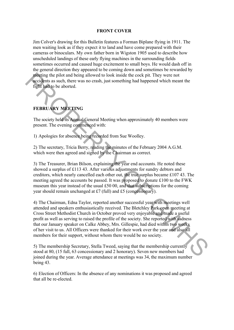#### **FRONT COVER**

Jim Colver's drawing for this Bulletin features a Forman Biplane flying in 1911. The men waiting look as if they expect it to land and have come prepared with their cameras or binoculars. My own father born in Wigston 1905 used to describe how unscheduled landings of these early flying machines in the surrounding fields sometimes occurred and caused huge excitement to small boys. He would dash off in the general direction they appeared to be coming down and sometimes be rewarded by meeting the pilot and being allowed to look inside the cock pit. They were not accidents as such, there was no crash, just something had happened which meant the fight had to be aborted.

# **FEBRUARY MEETING**

The society held its Annual General Meeting when approximately 40 members were present. The evening commenced with:

1) Apologies for absence being recorded from Sue Woolley.

2) The secretary, Tricia Berry, reading the minutes of the February 2004 A.G.M. which were then agreed and signed by the Chairman as correct.

3) The Treasurer, Brian Bilson, explaining the year end accounts. He noted these showed a surplus of £113 43. After various adjustments for sundry debtors and creditors, which nearly cancelled each other out, the true surplus became Ä107 43. The meeting agreed the accounts be passed. It was proposed to donate Ä100 to the FWK museum this year instead of the usual  $£5000$ , and that subscriptions for the coming year should remain unchanged at £7 (full) and £5 (concessionary).

4) The Chairman, Edna Taylor, reported another successful year with meetings well attended and speakers enthusiastically received. The Bletchley Park open meeting at Cross Street Methodist Church in October proved very enjoyable and made a useful profit as well as serving to raised the profile of the society. She reported with sadness that our January speaker on Calke Abbey, Mrs. Gillespie, had died within two weeks of her visit to us. All Officers were thanked for their work over the year and also all members for their support, without whom there would be no society. **Example 10** to plot and being allowed to look inside the cock pit. They were not<br> **Example 10** to an dening the plot and being the plane and the cock pit. They were not<br>
fight individuals be aborted.<br>
The society held it

5) The membership Secretary, Stella Tweed, saying that the membership currently stood at 80, (15 full, 63 concessionary and 2 honorary). Seven new members had joined during the year. Average attendance at meetings was 34, the maximum number being 43.

6) Election of Officers: In the absence of any nominations it was proposed and agreed that all be re-elected.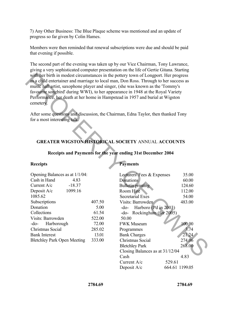7) Any Other Business: The Blue Plaque scheme was mentioned and an update of progress so far given by Colin Hames.

Members were then reminded that renewal subscriptions were due and should be paid that evening if possible.

The second part of the evening was taken up by our Vice Chairman, Tony Lawrance, giving a very sophisticated computer presentation on the life of Gertie Gitana. Starting with her birth in modest circumstances in the pottery town of Longport. Her progress as a child entertainer and marriage to local man, Don Ross. Through to her success as music hall artist, saxophone player and singer, (she was known as the 'Tommy's favourite songbird' during WWI), to her appearance in 1948 at the Royal Variety Performance, her death at her home in Hampstead in 1957 and burial at Wigston cemetery.

## **GREATER WIGSTON HISTORICAL SOCIETY** ANNUAL **ACCOUNTS**

#### **Receipts and Payments for the year ending 31st December 2004**

#### **Receipts**

| Opening Balances as at 1/1/04:     |        |
|------------------------------------|--------|
| Cash in Hand<br>4.83               |        |
| $-18.37$<br>Current $A/c$          |        |
| 1099.16<br>Deposit A/c             |        |
| 1085.62                            |        |
| Subscriptions                      | 407.50 |
| Donation                           | 5.00   |
| Collections                        | 61.54  |
| Visits: Barrowden                  | 522.00 |
| -do- Harborough                    | 72.00  |
| Christmas Social                   | 285.02 |
| Bank Interest                      | 13.01  |
| <b>Bletchley Park Open Meeting</b> | 333.00 |

#### **Payments**

| cemetery.<br>for a most interesting talk.                                                                                                                                                                                                                                                         |                                                                         | with her birth in modest circumstances in the pottery town of Longport. Her progress<br>as a child entertainer and marriage to local man, Don Ross. Through to her success as<br>music hall artist, saxophone player and singer, (she was known as the 'Tommy's<br>favourite songbird' during WWI), to her appearance in 1948 at the Royal Variety<br>Performance, her death at her home in Hampstead in 1957 and burial at Wigston<br>After some questions and discussion, the Chairman, Edna Taylor, then thanked Tony |                                                                                                                                          |  |
|---------------------------------------------------------------------------------------------------------------------------------------------------------------------------------------------------------------------------------------------------------------------------------------------------|-------------------------------------------------------------------------|--------------------------------------------------------------------------------------------------------------------------------------------------------------------------------------------------------------------------------------------------------------------------------------------------------------------------------------------------------------------------------------------------------------------------------------------------------------------------------------------------------------------------|------------------------------------------------------------------------------------------------------------------------------------------|--|
| <b>GREATER WIGSTON HISTORICAL SOCIETY ANNUAL ACCOUNTS</b><br>Receipts and Payments for the year ending 31st December 2004<br><b>Payments</b><br><b>Receipts</b>                                                                                                                                   |                                                                         |                                                                                                                                                                                                                                                                                                                                                                                                                                                                                                                          |                                                                                                                                          |  |
| Opening Balances as at 1/1/04:<br>Cash in Hand<br>4.83<br>Current A/c<br>$-18.37$<br>1099.16<br>Deposit A/c<br>1085.62<br>Subscriptions<br>Donation<br>Collections<br>Visits: Barrowden<br>$-do-$<br>Harborough<br>Christmas Social<br><b>Bank Interest</b><br><b>Bletchley Park Open Meeting</b> | 407.50<br>5.00<br>61.54<br>522.00<br>72.00<br>285.02<br>13.01<br>333.00 | Lecturers' Fees & Expenses<br><b>Donations</b><br><b>Bulletin printing</b><br>Room Hire<br>Secretarial Exes<br>Visits: Barrowden<br>Harboro (Pd in 2003)<br>$-do-$<br>-do- Rockingham (for 2005)<br>50.00<br><b>FWK Museum</b><br>Programmes<br><b>Bank Charges</b><br>Christmas Social<br><b>Bletchley Park</b><br>Closing Balances as at 31/12/04<br>Cash<br>Current A/c<br>Deposit A/c                                                                                                                                | 35.00<br>60.00<br>124.60<br>112.00<br>54.00<br>483.00<br>100.00<br>3.74<br>21.24<br>274.06<br>268.00<br>4.83<br>529.61<br>664.61 1199.05 |  |

**2784.69 2784.69**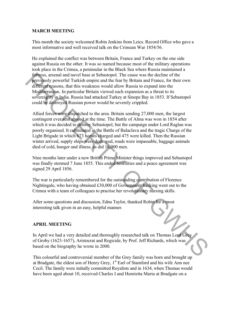## **MARCH MEETING**

This month the society welcomed Robin Jenkins from Leics. Record Office who gave a most informative and well received talk on the Crimean War 1854/56.

He explained the conflict was between Britain, France and Turkey on the one side against Russia on the other. It was so named because most of the military operations took place in the Crimea, a peninsular in the Black Sea where Russia maintained a fortress, arsenal and navel base at Sebastopol. The cause was the decline of the previously powerful Turkish empire and the fear by Britain and France, for their own different reasons, that this weakness would allow Russia to expand into the Mediterranean. In particular Britain viewed such expansion as a threat to its sovereignty in India. Russia had attacked Turkey at Sinope Bay in 1853. If Sebastopol could be destroyed Russian power would be severely crippled.

Allied forces were dispatched to the area. Britain sending 27,000 men, the largest contingent ever sent abroad at the time. The Battle of Alma was won in 1854 after which it was decided to destroy Sebastopol, but the campaign under Lord Raglan was poorly organised. It culminated in the Battle of Balaclava and the tragic Charge of the Light Brigade in which 673 horses charged and 475 were killed. Then the Russian winter arrived, supply ships were destroyed, roads were impassable, baggage animals died of cold, hunger and illness, as did 16,000 men. is the cleane of the first base at Schostopol. The cause was the decline of the cleane theorem is the contributed of the Schostopol. The same was the cleane of the system of the Mediterran Contributed Schostness would all

Nine months later under a new British Prime Minister things improved and Sebastopol was finally stormed 7 June 1855. This ended hostilities and a peace agreement was signed 29 April 1856.

The war is particularly remembered for the outstanding contribution of Florence Nightingale, who having obtained Ä30,000 of Government backing went out to the Crimea with a team of colleagues to practise her revolutionary nursing skills.

After some questions and discussion, Edna Taylor, thanked Robin for a most interesting talk given in an easy, helpful manner.

#### **APRIL MEETING**

In April we had a very detailed and thoroughly researched talk on Thomas Lord Grey of Groby (1623-1657), Aristocrat and Regicide, by Prof. Jeff Richards, which was based on the biography he wrote in 2000.

This colourful and controversial member of the Grey family was born and brought up at Bradgate, the eldest son of Henry Grey, 1<sup>st</sup> Earl of Stamford and his wife Ann nee Cecil. The family were initially committed Royalists and in 1634, when Thomas would have been aged about 10, received Charles I and Henrietta Maria at Bradgate on a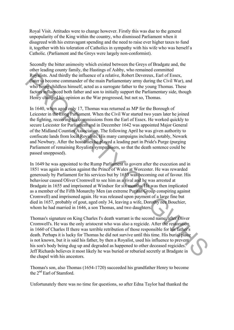Royal Visit. Attitudes were to change however. Firstly this was due to the general unpopularity of the King within the country, who dismissed Parliament when it disagreed with his extravagant spending and the need to raise ever higher taxes to fund it, together with his toleration of Catholics in sympathy with his wife who was herself a Catholic. (Parliament and the Greys were largely non-conformist).

Secondly the bitter animosity which existed between the Greys of Bradgate and, the other leading county family, the Hastings of Ashby, who remained committed Royalists. And thirdly the influence of a relative, Robert Devereux, Earl of Essex, (later to become commander of the main Parliamentary army during the Civil War), and who being childless himself, acted as a surrogate father to the young Thomas. These factors influenced both father and son to initially support the Parliamentary side, though Henry changed his opinion as the War progressed, but not so, Thomas.

In 1640, when aged only 17, Thomas was returned as MP for the Borough of Leicester in the Long Parliament. When the Civil War started two years later he joined the fighting, receiving his commissions from the Earl of Essex. He worked quickly to secure Leicester for Parliament and in December 1642 was appointed Major General of the Midland Counties Association. The following April he was given authority to confiscate lands from local Royalists. His many campaigns included, notably, Newark and Newbury. After the hostilities he played a leading part in Pride's Purge (purging Parliament of remaining Royalists sympathisers, so that the death sentence could be passed unopposed). Reyntliests. And thirdly the influence of a relative, Robert Deeven Kend of Fissex (and thirdly the influence of the main Parliamentary army during the Civil War), and who being childless himself, acted as a surrogate fai

In 1649 he was appointed to the Rump Parliament to govern after the execution and in 1851 was again in action against the Prince of Wales at Worcester. He was rewarded generously by Parliament for his services but by 1653 was becoming out of favour. His behaviour caused Oliver Cromwell to see him as a rival and he was arrested at Bradgate in 1655 and imprisoned at Windsor for six months. He was then implicated as a member of the Fifth Monarchy Men (an extreme Puritan Group conspiring against Cromwell) and imprisoned again. He was released upon payment of a large fine but died in 1657, probably of gout, aged only 34, leaving a wife, Dorothy nee Bouchier, whom he had married in 1646, a son Thomas, and two daughters.

Thomas's signature on King Charles I's death warrant is the second name, after Oliver Cromwell's. He was the only aristocrat who was also a regicide. After the restoration in 1660 of Charles II there was terrible retribution of those responsible for his father's death. Perhaps it is lucky for Thomas he did not survive until this time. His burial place is not known, but it is said his father, by then a Royalist, used his influence to prevent his son's body being dug up and degraded as happened to other deceased regicides. Jeff Richards believes it most likely he was buried or reburied secretly at Bradgate in the chapel with his ancestors.

Thomas's son, also Thomas (1654-1720) succeeded his grandfather Henry to become the 2<sup>nd</sup> Earl of Stamford.

Unfortunately there was no time for questions, so after Edna Taylor had thanked the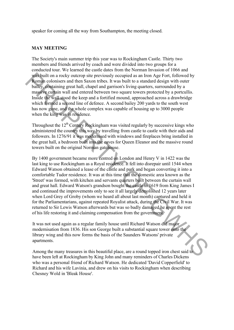speaker for coming all the way from Southampton, the meeting closed.

#### **MAY MEETING**

The Society's main summer trip this year was to Rockingham Castle. Thirty two members and friends arrived by coach and were divided into two groups for a conducted tour. We learned the castle dates from the Norman Invasion of 1066 and was built on a rocky outcrop site previously occupied as an Iron Age Fort, followed by Roman colonisers and then Saxon tribes. It was built to a standard design with outer bailey, containing great hall, chapel and garrison's living quarters, surrounded by a massive curtain wall and entered between two square towers protected by a portcullis. Inside the wall stood the keep and a fortified mound, approached across a drawbridge which formed a second line of defence. A second bailey 200 yards to the south west has now gone, and the whole complex was capable of housing up to 3000 people when the king was in residence.

Throughout the  $12<sup>th</sup>$  Century Rockingham was visited regularly by successive kings who administered the country this way by travelling from castle to castle with their aids and followers. In 1276/91 it was modernised with windows and fireplaces bring installed in the great hall, a bedroom built into the eaves for Queen Eleanor and the massive round towers built on the original Norman gatehouse.

By 1400 government became more centred on London and Henry V in 1422 was the last king to use Rockingham as a Royal residence. It fell into disrepair until 1544 when Edward Watson obtained a lease of the castle and park and began converting it into a comfortable Tudor residence. It was at this time that the domestic area known as the 'Street' was formed, with kitchen and servants quarters built between the curtain wall and great hall. Edward Watson's grandson bought the castle in 1619 from King James I and continued the improvements only to see it all largely demolished 12 years later when Lord Grey of Groby (whom we heard all about last month) captured and held it for the Parliamentarians, against repeated Royalist attack, during the Civil War. It was returned to Sir Lewis Watson afterwards but was so badly damaged he spent the rest of his life restoring it and claiming compensation from the government. was solution a nocky outcrop site previously occupied as an Iron Age Fort, followed by<br>
Romarino consists und the state in Shock II was but it to a standard design with outcr<br>
The butto state of buttom standard calge to t

It was not used again as a regular family house until Richard Watson did major modernisation from 1836. His son George built a substantial square tower onto the library wing and this now forms the basis of the Saunders Watsons' private apartments.

Among the many treasures in this beautiful place, are a round topped iron chest said to have been left at Rockingham by King John and many reminders of Charles Dickens who was a personal friend of Richard Watson. He dedicated 'David Copperfield' to Richard and his wife Lavinia, and drew on his visits to Rockingham when describing Chesney Wold in 'Bleak House'.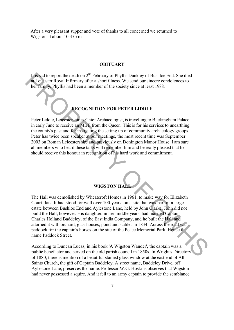After a very pleasant supper and vote of thanks to all concerned we returned to Wigston at about 10.45p.m.

#### **OBITUARY**

It is sad to report the death on 2<sup>nd</sup> February of Phyllis Dunkley of Bushloe End. She died at Leicester Royal Infirmary after a short illness. We send our sincere condolences to her family. Phyllis had been a member of the society since at least 1988.

#### **RECOGNITION FOR PETER LIDDLE**

Peter Liddle, Leicestershire's Chief Archaeologist, is travelling to Buckingham Palace in early June to receive an MBE from the Queen. This is for his services to unearthing the county's past and for instigating the setting up of community archaeology groups. Peter has twice been speaker at our meetings, the most recent time was September 2003 on Roman Leicestershire and previously on Donington Manor House. I am sure all members who heard these talks will remember him and be really pleased that he should receive this honour in recognition of his hard work and commitment.

#### **WIGSTON HALL**

The Hall was demolished by Wheatcroft Homes in 1961, to make way for Elizabeth Court flats. It had stood for well over 100 years, on a site that was part of a large estate between Bushloe End and Aylestone Lane, held by John Clarke. John did not build the Hall, however. His daughter, in her middle years, had married Captain Charles Holland Baddeley, of the East India Company, and he built the Hall and adorned it with orchard, glasshouses, pond and stables in 1834. Across the road was a paddock for the captain's horses on the site of the Peace Memorial Park. Hence the name Paddock Street. **Use Salto report the death on 2<sup>241</sup> rehundary of Phyllis Dunkley of Bushblee End She died<br>
All** *elector* **Royal Infirmary after a short illness. We send our sincere condelences to<br>
the Thangthy Phyllis had been a member** 

According to Duncan Lucas, in his book 'A Wigston Wander', the captain was a public benefactor and served on the old parish council in 1850s. In Wright's Directory of 1880, there is mention of a beautiful stained glass window at the east end of All Saints Church, the gift of Captain Baddeley. A street name, Baddeley Drive, off Aylestone Lane, preserves the name. Professor W.G. Hoskins observes that Wigston had never possessed a squire. And it fell to an army captain to provide the semblance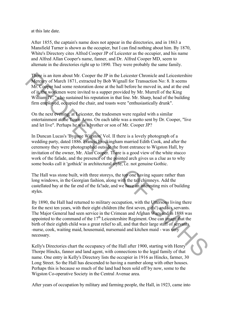at this late date.

After 1855, the captain's name does not appear in the directories, and in 1863 a Mansfield Turner is shown as the occupier, but I can find nothing about him. By 1870, White's Directory cites Alfred Cooper JP of Leicester as the occupier, and his name and Alfred Allan Cooper's name, fanner, and Dr. Alfred Cooper MD, seem to alternate in the directories right up to 1890. They were probably the same family.

There is an item about Mr. Cooper the JP in the Leicester Chronicle and Leicestershire Mercury of March 1871, extracted by Bob Wignall for Transaction No: 8. It seems Mr. Cooper had some restoration done at the hall before he moved in, and at the end of it, the workmen were invited to a supper provided by Mr. Murrell of the King William IV, "who sustained his reputation in that line. Mr. Sharp, head of the building firm employed, occupied the chair, and toasts were "enthusiastically drunk".

On the next evening, at Leicester, the tradesmen were regaled with a similar entertainment at the Town Arms. On each table was a motto sent by Dr. Cooper, "live and let live". Perhaps he was a brother or son of Mr. Cooper JP?

In Duncan Lucas's 'Bygone Wigston' Vol. II there is a lovely photograph of a wedding party, dated 1886. Francis Freckingham married Edith Cook, and after the ceremony they were photographed outside the front entrance to Wigston Hall, by invitation of the owner, Mr. Alan Cooper. There is a good view of the white stucco work of the fafade, and the presence of the pointed arch gives us a clue as to why some books call it 'gothick' in architectural style, i.e. not genuine Gothic.

The Hall was stone built, with three storeys, the top one having square rather than long windows, in the Georgian fashion, along with the tall chimneys. Add the castellated bay at the far end of the fa?ade, and we have an interesting mix of building styles.

By 1890, the Hall had returned to military occupation, with the Uttersons living there for the next ten years, with their eight children (the first seven, girls!) and six servants. The Major General had seen service in the Crimean and Afghan Wars and in 1888 was appointed to the command of the  $17<sup>th</sup>$  Leicestershire Regiment. One can image that the birth of their eighth child was a great relief to all, and that their large staff of servants -nurse, cook, waiting maid, housemaid, nursemaid and kitchen maid - was very necessary. There is an iten about Mr. Cooper the JP in the Leitester Chronicle and Leiestershire<br>McCuity of March 1871, cxtracted by Bob Wignall for Transaction No: 8. It scenas<br>McCuity of March 1871, cxtracted by Bob Wignall for Tr

Kelly's Directories chart the occupancy of the Hall after 1900, starting with Henry Thorpe Hincks, fanner and land agent, with connections to the legal family of that name. One entry in Kelly's Directory lists the occupier in 1916 as Hincks, farmer, 30 Long Street. So the Hall has descended to having a number along with other houses. Perhaps this is because so much of the land had been sold off by now, some to the Wigston Co-operative Society in the Central Avenue area.

After years of occupation by military and farming people, the Hall, in 1923, came into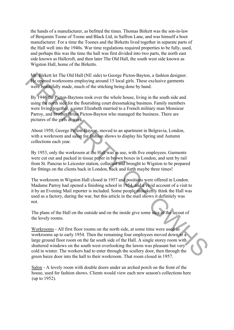the hands of a manufacturer, as befitted the times. Thomas Birkett was the son-in-law of Benjamin Toone of Toone and Black Ltd, in Saffron Lane, and was himself a boot manufacturer. For a time the Toones and the Birketts lived together in separate parts of the Hall well into the 1940s. War time regulations required properties to be fully, used, and perhaps this was the time the hall was first divided into two parts, the north east side known as Hallcroft, and then later The Old Hall, the south west side known as Wigston Hall, home of the Birketts.

Mr. Birkett let The Old Hall (NE side) to George Picton-Bayton, a fashion designer. He opened workrooms employing around 15 local girls. These exclusive garments were beautifully made, much of the stitching being done by hand.

By 1946 the Picton-Baytons took over the whole house, living in the south side and using the north side for the flourishing court dressmaking business. Family members were living together, a sister Elizabeth married to a French military man Monsieur Parroy, and brother Brian Picton-Bayton who managed the business. There are pictures of the girls at work.

About 1950, George Picton-Bayton, moved to an apartment in Belgravia, London, with a workroom and salon for fashion shows to display his Spring and Autumn collections each year.

By 1953, only the workroom at the Hall was in use, with five employees. Garments were cut out and packed in tissue paper in brown boxes in London, and sent by rail from St. Pancras to Leicester station, collected and brought to Wigston to be prepared for fittings on the clients back in London, back and forth maybe three times!

The workroom in Wigston Hall closed in 1957 and positions were offered in London. Madame Parroy had opened a finishing school in 1954, and a vivid account of a visit to it by an Evening Mail reporter is included. Some people mistakenly think the Hall was used as a factory, during the war, but this article in the mail shows it definitely was not.

The plans of the Hall on the outside and on the inside give some idea of the layout of the lovely rooms.

Workrooms - All first floor rooms on the north side, at some time were used as workrooms up to early 1954. Then the remaining four employees moved down to a large ground floor room on the far south side of the Hall. A single storey room with shuttered windows on the south west overlooking the lawns was pleasant but very cold in winter. The workers had to enter through the scullery door, then through the green baize door into the hall to their workroom. That room closed in 1957. Me Gireker let The Old Hall (NE side) to George Picton-Bayton, a fashion designer.<br>
We opened workcomes employing around 15 local girls. These exclusive gaments<br>
were beginnifully made, much of the stilching being done by

Salon - A lovely room with double doors under an arched porch on the front of the house, used for fashion shows. Clients would view each new season's collections here (up to 1952).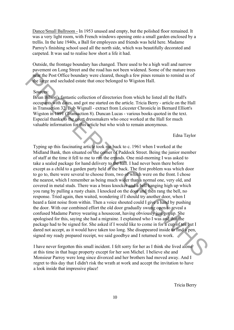Dance/Small Ballroom - In 1953 unused and empty, but the polished floor remained. It was a very light room, with French windows opening onto a small garden enclosed by a trellis. In the late 1940s, a Ball for employees and friends was held here. Madame Parroy's finishing school used all the north side, which was beautifully decorated and carpeted. It was sad to realise how short a life it had.

Outside, the frontage boundary has changed. There used to be a high wall and narrow pavement on Long Street and the road has not been widened. Some of the mature trees near the Post Office boundary were cleared, though a few pines remain to remind us of the large and secluded estate that once belonged to Wigston Hall.

#### Sources:

Brian Bilson's fantastic collection of directories from which he listed all the Hall's occupants with dates, and got me started on the article. Tricia Berry - article on the Hall in Transaction 32. Bob Wignall - extract from Leicester Chronicle in Bernard Elliott's Wigston in 1891 (Transaction 8). Duncan Lucas - various books quoted in the text. Especial thanks to the court dressmakers who once worked at the Hall for much valuable information for this article but who wish to remain anonymous.

Edna Taylor

Typing up this fascinating article took me back to c. 1961 when I worked at the Midland Bank, then situated on the corner of Paddock Street. Being the junior member of staff at the time it fell to me to run the errands. One mid-morning I was asked to take a sealed package for hand delivery to the hall. I had never been there before except as a child to a garden party held at the back. The first problem was which door to go to, there were several to choose from, two of which were on the front. I chose the nearest, which I remember as being much wider than a normal one, very old, and covered in metal studs. There was a brass knocker and a bell hanging high up which you rang by pulling a rusty chain. I knocked on the door and then rang the bell, no response. Tried again, then waited, wondering if I should try another door, when I heard a faint noise from within. Then a voice shouted could I give a hand by pushing the door. With our combined effort the old door gradually swung open to reveal a confused Madame Parroy wearing a housecoat, having obviously just got up. She apologised for this, saying she had a migraine. I explained who I was and that the package had to be signed for. She asked if I would like to come in for a cup of tea but I dared not accept, as it would have taken too long. She disappeared inside to find a pen, signed my ready prepared receipt, we said goodbye and I returned to work. methe bost Office boundary were cleared, though a few pines remain to remind as of<br>the lange and secluded estate that once belonged to Wigston Hall.<br>
Sources Summer Bilson's limitatic collection of directories from which

I have never forgotten this small incident. I felt sorry for her as I think she lived alone at this time in that huge property except for her son Michel. I believe she and Monsieur Parroy were long since divorced and her brothers had moved away. And I regret to this day that I didn't risk the wrath at work and accept the invitation to have a look inside that impressive place!

Tricia Berry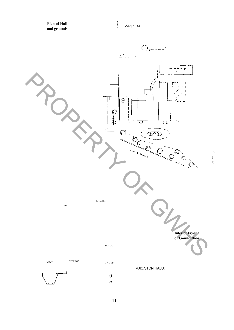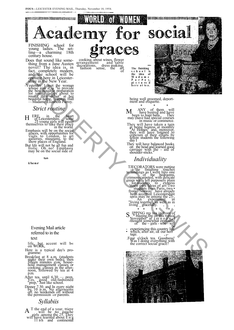

thing from a Jane Austen novel? The idea is, in fact, completely modern, and the school will be opening here in Leicestershire in the New Year.

-Yesterday 1 met the woman whose aim it is "to provide the best possible preparation lor young ladies about to •make their debut" at her beautiful home, Wigston, Hall —Madame Elizabeth Parroy.

*Strict routine*

 $ERE$ , in the heart of Leicestershire, some <sup>25</sup> Young girls will eguip<br>themselves to take their place<br>in the world. H

Emphasis will be on the social graces, with opportunities for visits to London, to art galleries, museums, to the show places of England. But life will not be all fun and frolic. Oh no! Emphasis may be on the social side of

**tun**

**i/ienr**

Evening Mail article referred to in the text

life, but accent will b«<br>on WORK,

Here is a typical day's pro-gramme:

Breakfast at 8 a.m. (students make their own beds); then fifteen minutes *gym;* household management classes or cooking; classes in the after-noon, followed by tea at 4 p.m.

After tea, until 6.30 — prep. Yes, good old-fashioned "prep," Just like school.

Dinner 7.30. and In every night by 10 p.m. No afternoons off. no weekends off without the permission *-ot* parents.

#### *Syllabiis*

**A** T the end of a year, ttiere will be no gauche<br>girls .among tbe 25. They<br>will have learned about E n g<br>11 B h and continental A

cooking, about wines, flower arrangement and 'table decorations, dress making, fashion sense, the art art<br>of

**The finishing s c h o o l is the idea of M a d a m e P a r P o y, pi c t u re d h e r e a t te a .**



being well groomed, deport-ment and etiquette.

\* \* \* ANY of them will<br>have hunted and have<br>been to hunt balls. They may (have had special courses in music or commerce. M

They will have taken a turn<br>
at being hostess, at monthly<br>
At Homes" and, moreover,<br>
they will have listened to<br>
criticism of their efforts by<br>
fellow students the following<br>
day I

They will have balanced books<br>on the head and learned good<br>carriage with the - aid of<br>shoulder-sticks."

# *Individuality*

TJECORATORS were putting -a-'the finishing touches to landings as I went Into one of the bedrooms, crimson-carpeted, with delicate green walls left purposely plain<br>for students to express<br>tudents from Paris, two •<br>students from Paris, two •<br>from Norway have already<br>been accepted. Leicestershire<br>spris may be among the 25-t  $\frac{X_n}{n}$  experiment in "living together, as well as in living gracefully. and the school will be a small of the school will be a small of the school will be a small of the school will be a small of the school will be a small of the school will be a small of the school will be a small of the sch

\* \* \* \* IPPING my tea in front of<br>I we blazing flre on this typical<br>November" af .t er n o o n,<br>I hought somewhat enviously S

- of the ~ girls wbo will<br>- experiencing this country life<br>which, after air, *i&* our herr<br>tage.
- Four o'clock tea. Goodness!<br>Was I doing everything with<br>the correct social grace?